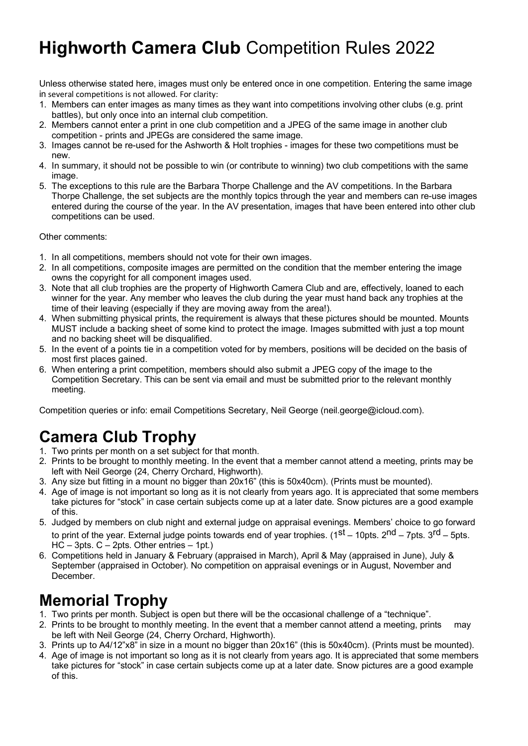# **Highworth Camera Club** Competition Rules 2022

Unless otherwise stated here, images must only be entered once in one competition. Entering the same image in several competitions is not allowed. For clarity:

- 1. Members can enter images as many times as they want into competitions involving other clubs (e.g. print battles), but only once into an internal club competition.
- 2. Members cannot enter a print in one club competition and a JPEG of the same image in another club competition - prints and JPEGs are considered the same image.
- 3. Images cannot be re-used for the Ashworth & Holt trophies images for these two competitions must be new.
- 4. In summary, it should not be possible to win (or contribute to winning) two club competitions with the same image.
- 5. The exceptions to this rule are the Barbara Thorpe Challenge and the AV competitions. In the Barbara Thorpe Challenge, the set subjects are the monthly topics through the year and members can re-use images entered during the course of the year. In the AV presentation, images that have been entered into other club competitions can be used.

Other comments:

- 1. In all competitions, members should not vote for their own images.
- 2. In all competitions, composite images are permitted on the condition that the member entering the image owns the copyright for all component images used.
- 3. Note that all club trophies are the property of Highworth Camera Club and are, effectively, loaned to each winner for the year. Any member who leaves the club during the year must hand back any trophies at the time of their leaving (especially if they are moving away from the area!).
- 4. When submitting physical prints, the requirement is always that these pictures should be mounted. Mounts MUST include a backing sheet of some kind to protect the image. Images submitted with just a top mount and no backing sheet will be disqualified.
- 5. In the event of a points tie in a competition voted for by members, positions will be decided on the basis of most first places gained.
- 6. When entering a print competition, members should also submit a JPEG copy of the image to the Competition Secretary. This can be sent via email and must be submitted prior to the relevant monthly meeting.

Competition queries or info: email Competitions Secretary, Neil George (neil.george@icloud.com).

### **Camera Club Trophy**

- 1. Two prints per month on a set subject for that month.
- 2. Prints to be brought to monthly meeting. In the event that a member cannot attend a meeting, prints may be left with Neil George (24, Cherry Orchard, Highworth).
- 3. Any size but fitting in a mount no bigger than 20x16" (this is 50x40cm). (Prints must be mounted).
- 4. Age of image is not important so long as it is not clearly from years ago. It is appreciated that some members take pictures for "stock" in case certain subjects come up at a later date. Snow pictures are a good example of this.
- 5. Judged by members on club night and external judge on appraisal evenings. Members' choice to go forward to print of the year. External judge points towards end of year trophies. ( $1^{st}$  – 10pts.  $2^{nd}$  – 7pts.  $3^{rd}$  – 5pts. HC – 3pts. C – 2pts. Other entries – 1pt.)
- 6. Competitions held in January & February (appraised in March), April & May (appraised in June), July & September (appraised in October). No competition on appraisal evenings or in August, November and December.

## **Memorial Trophy**

- 1. Two prints per month. Subject is open but there will be the occasional challenge of a "technique".
- 2. Prints to be brought to monthly meeting. In the event that a member cannot attend a meeting, prints may be left with Neil George (24, Cherry Orchard, Highworth).
- 3. Prints up to A4/12"x8" in size in a mount no bigger than 20x16" (this is 50x40cm). (Prints must be mounted).
- 4. Age of image is not important so long as it is not clearly from years ago. It is appreciated that some members take pictures for "stock" in case certain subjects come up at a later date. Snow pictures are a good example of this.